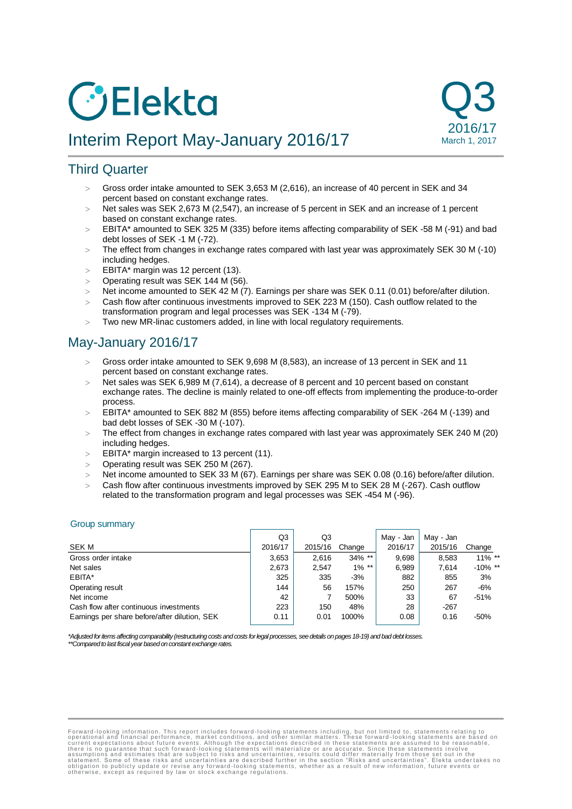# **O**Elekta





# Third Quarter

- Gross order intake amounted to SEK 3,653 M (2,616), an increase of 40 percent in SEK and 34 percent based on constant exchange rates.
- $>$  Net sales was SEK 2,673 M (2,547), an increase of 5 percent in SEK and an increase of 1 percent based on constant exchange rates.
- EBITA\* amounted to SEK 325 M (335) before items affecting comparability of SEK -58 M (-91) and bad debt losses of SEK -1 M (-72).
- The effect from changes in exchange rates compared with last year was approximately SEK 30 M (-10) including hedges.
- $\geq$  EBITA\* margin was 12 percent (13).
- $\geq$  Operating result was SEK 144 M (56).
- Net income amounted to SEK 42 M (7). Earnings per share was SEK 0.11 (0.01) before/after dilution.
- Cash flow after continuous investments improved to SEK 223 M (150). Cash outflow related to the transformation program and legal processes was SEK -134 M (-79).
- Two new MR-linac customers added, in line with local regulatory requirements.

# May-January 2016/17

- Gross order intake amounted to SEK 9,698 M (8,583), an increase of 13 percent in SEK and 11 percent based on constant exchange rates.
- Net sales was SEK 6,989 M (7,614), a decrease of 8 percent and 10 percent based on constant exchange rates. The decline is mainly related to one-off effects from implementing the produce-to-order process.
- EBITA\* amounted to SEK 882 M (855) before items affecting comparability of SEK -264 M (-139) and bad debt losses of SEK -30 M (-107).
- The effect from changes in exchange rates compared with last year was approximately SEK 240 M (20) including hedges.
- $\geq$  EBITA\* margin increased to 13 percent (11).
- Operating result was SEK 250 M (267).
- Net income amounted to SEK 33 M (67). Earnings per share was SEK 0.08 (0.16) before/after dilution.
- Cash flow after continuous investments improved by SEK 295 M to SEK 28 M (-267). Cash outflow related to the transformation program and legal processes was SEK -454 M (-96).

#### Group summary

|                                               | Q3      | Q3      |           | May - Jan | May - Jan |            |
|-----------------------------------------------|---------|---------|-----------|-----------|-----------|------------|
| SEK M                                         | 2016/17 | 2015/16 | Change    | 2016/17   | 2015/16   | Change     |
| Gross order intake                            | 3,653   | 2.616   | $34\%$ ** | 9.698     | 8,583     | $11\%$ **  |
| Net sales                                     | 2,673   | 2,547   | $1\%$ **  | 6,989     | 7,614     | $-10\%$ ** |
| EBITA*                                        | 325     | 335     | $-3%$     | 882       | 855       | 3%         |
| Operating result                              | 144     | 56      | 157%      | 250       | 267       | $-6%$      |
| Net income                                    | 42      |         | 500%      | 33        | 67        | $-51%$     |
| Cash flow after continuous investments        | 223     | 150     | 48%       | 28        | $-267$    |            |
| Earnings per share before/after dilution, SEK | 0.11    | 0.01    | 1000%     | 0.08      | 0.16      | $-50%$     |

*\*Adjusted for items affecting comparability (restructuring costs and costs for legal processes, see details on pages 18-19) and bad debt losses. \*\*Compared to last fiscal year based on constant exchange rates.*

Forward-looking information. This report includes forward-looking statements including, but not limited to, statements relating to corrent expectations about future events. Although the expectations described in these stat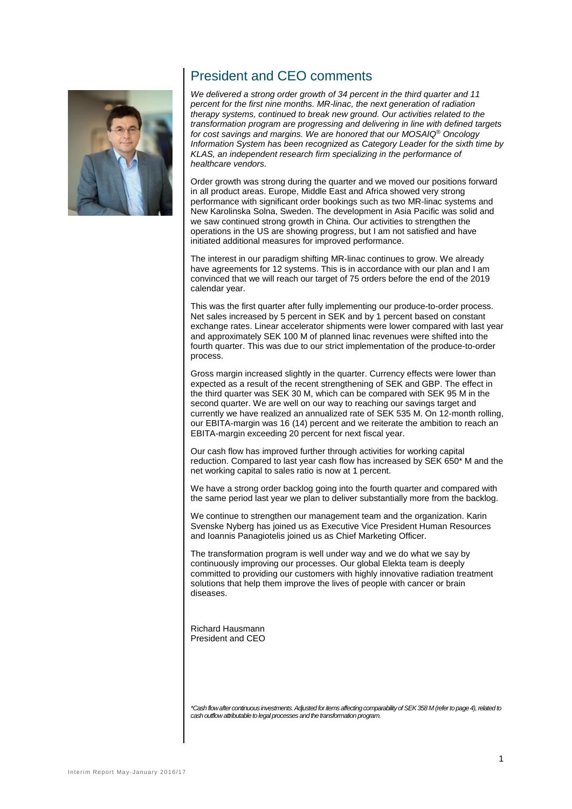

# President and CEO comments

*We delivered a strong order growth of 34 percent in the third quarter and 11 percent for the first nine months. MR-linac, the next generation of radiation therapy systems, continued to break new ground. Our activities related to the transformation program are progressing and delivering in line with defined targets for cost savings and margins. We are honored that our MOSAIQ® Oncology Information System has been recognized as Category Leader for the sixth time by KLAS, an independent research firm specializing in the performance of healthcare vendors.*

Order growth was strong during the quarter and we moved our positions forward in all product areas. Europe, Middle East and Africa showed very strong performance with significant order bookings such as two MR-linac systems and New Karolinska Solna, Sweden. The development in Asia Pacific was solid and we saw continued strong growth in China. Our activities to strengthen the operations in the US are showing progress, but I am not satisfied and have initiated additional measures for improved performance.

The interest in our paradigm shifting MR-linac continues to grow. We already have agreements for 12 systems. This is in accordance with our plan and I am convinced that we will reach our target of 75 orders before the end of the 2019 calendar year.

This was the first quarter after fully implementing our produce-to-order process. Net sales increased by 5 percent in SEK and by 1 percent based on constant exchange rates. Linear accelerator shipments were lower compared with last year and approximately SEK 100 M of planned linac revenues were shifted into the fourth quarter. This was due to our strict implementation of the produce-to-order process.

Gross margin increased slightly in the quarter. Currency effects were lower than expected as a result of the recent strengthening of SEK and GBP. The effect in the third quarter was SEK 30 M, which can be compared with SEK 95 M in the second quarter. We are well on our way to reaching our savings target and currently we have realized an annualized rate of SEK 535 M. On 12-month rolling, our EBITA-margin was 16 (14) percent and we reiterate the ambition to reach an EBITA-margin exceeding 20 percent for next fiscal year.

Our cash flow has improved further through activities for working capital reduction. Compared to last year cash flow has increased by SEK 650\* M and the net working capital to sales ratio is now at 1 percent.

We have a strong order backlog going into the fourth quarter and compared with the same period last year we plan to deliver substantially more from the backlog.

We continue to strengthen our management team and the organization. Karin Svenske Nyberg has joined us as Executive Vice President Human Resources and Ioannis Panagiotelis joined us as Chief Marketing Officer.

The transformation program is well under way and we do what we say by continuously improving our processes. Our global Elekta team is deeply committed to providing our customers with highly innovative radiation treatment solutions that help them improve the lives of people with cancer or brain diseases.

Richard Hausmann President and CEO

*\*Cash flow after continuous investments. Adjusted for items affecting comparability of SEK 358 M (refer to page 4), related to cash outflow attributable to legal processes and the transformation program.*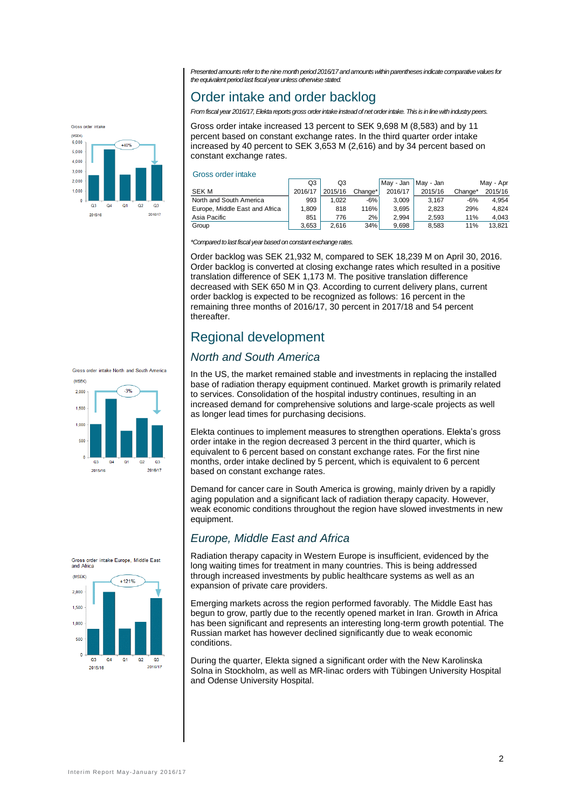*Presented amounts refer to the nine month period 2016/17and amounts within parentheses indicate comparative values for the equivalent period last fiscal year unless otherwise stated.* 

# Order intake and order backlog

*From fiscal year 2016/17, Elekta reports gross order intake instead of net order intake. This is in line with industry peers.*

Gross order intake increased 13 percent to SEK 9,698 M (8,583) and by 11 percent based on constant exchange rates. In the third quarter order intake increased by 40 percent to SEK 3,653 M (2,616) and by 34 percent based on constant exchange rates.

#### Gross order intake

|                                | Q3      | Q3      |         | Mav - Jan | May - Jan |         | May - Apr |
|--------------------------------|---------|---------|---------|-----------|-----------|---------|-----------|
| <b>SEK M</b>                   | 2016/17 | 2015/16 | Change* | 2016/17   | 2015/16   | Change* | 2015/16   |
| North and South America        | 993     | 1.022   | $-6%$   | 3.009     | 3.167     | $-6%$   | 4.954     |
| Europe, Middle East and Africa | 1,809   | 818     | 116%    | 3.695     | 2.823     | 29%     | 4.824     |
| Asia Pacific                   | 851     | 776     | 2%      | 2.994     | 2.593     | 11%     | 4.043     |
| Group                          | 3.653   | 2.616   | 34%     | 9.698     | 8.583     | 11%     | 13.821    |

*\*Compared to last fiscal year based on constant exchange rates.*

Order backlog was SEK 21,932 M, compared to SEK 18,239 M on April 30, 2016. Order backlog is converted at closing exchange rates which resulted in a positive translation difference of SEK 1,173 M. The positive translation difference decreased with SEK 650 M in Q3. According to current delivery plans, current order backlog is expected to be recognized as follows: 16 percent in the remaining three months of 2016/17, 30 percent in 2017/18 and 54 percent thereafter.

# Regional development

## *North and South America*

In the US, the market remained stable and investments in replacing the installed base of radiation therapy equipment continued. Market growth is primarily related to services. Consolidation of the hospital industry continues, resulting in an increased demand for comprehensive solutions and large-scale projects as well as longer lead times for purchasing decisions.

Elekta continues to implement measures to strengthen operations. Elekta's gross order intake in the region decreased 3 percent in the third quarter, which is equivalent to 6 percent based on constant exchange rates. For the first nine months, order intake declined by 5 percent, which is equivalent to 6 percent based on constant exchange rates.

Demand for cancer care in South America is growing, mainly driven by a rapidly aging population and a significant lack of radiation therapy capacity. However, weak economic conditions throughout the region have slowed investments in new equipment.

## *Europe, Middle East and Africa*

Radiation therapy capacity in Western Europe is insufficient, evidenced by the long waiting times for treatment in many countries. This is being addressed through increased investments by public healthcare systems as well as an expansion of private care providers.

Emerging markets across the region performed favorably. The Middle East has begun to grow, partly due to the recently opened market in Iran. Growth in Africa has been significant and represents an interesting long-term growth potential. The Russian market has however declined significantly due to weak economic conditions.

During the quarter, Elekta signed a significant order with the New Karolinska Solna in Stockholm, as well as MR-linac orders with Tübingen University Hospital and Odense University Hospital.



Cross order intolv

 $Q<sub>3</sub>$ 

2015/16

 $+40%$ 

 $Q<sub>1</sub>$  $Q<sub>2</sub>$ 

2016/17

 $6000$ 

 $5.000$  $\lambda$  000  $3.000$  $2,000$  $1,000$ 



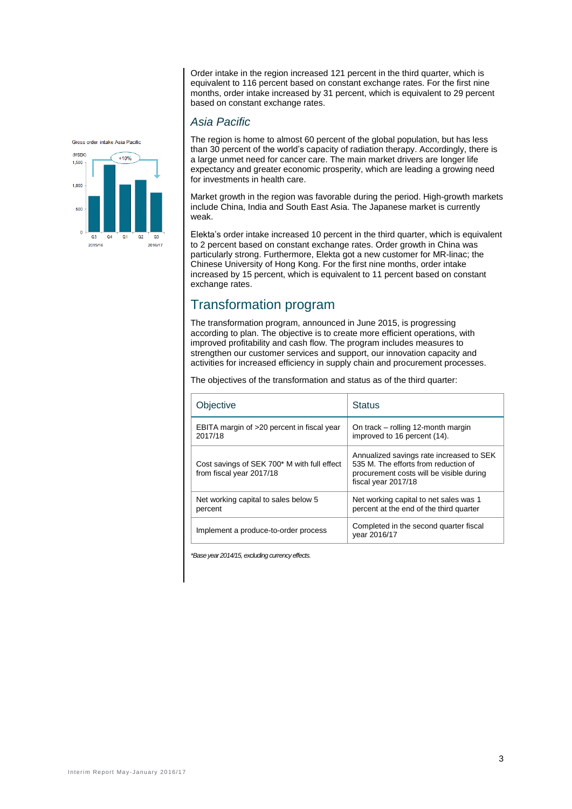Order intake in the region increased 121 percent in the third quarter, which is equivalent to 116 percent based on constant exchange rates. For the first nine months, order intake increased by 31 percent, which is equivalent to 29 percent based on constant exchange rates.

## *Asia Pacific*

The region is home to almost 60 percent of the global population, but has less than 30 percent of the world's capacity of radiation therapy. Accordingly, there is a large unmet need for cancer care. The main market drivers are longer life expectancy and greater economic prosperity, which are leading a growing need for investments in health care.

Market growth in the region was favorable during the period. High-growth markets include China, India and South East Asia. The Japanese market is currently weak.

Elekta's order intake increased 10 percent in the third quarter, which is equivalent to 2 percent based on constant exchange rates. Order growth in China was particularly strong. Furthermore, Elekta got a new customer for MR-linac; the Chinese University of Hong Kong. For the first nine months, order intake increased by 15 percent, which is equivalent to 11 percent based on constant exchange rates.

# Transformation program

The transformation program, announced in June 2015, is progressing according to plan. The objective is to create more efficient operations, with improved profitability and cash flow. The program includes measures to strengthen our customer services and support, our innovation capacity and activities for increased efficiency in supply chain and procurement processes.

The objectives of the transformation and status as of the third quarter:

| Objective                                                               | <b>Status</b>                                                                                                                                       |
|-------------------------------------------------------------------------|-----------------------------------------------------------------------------------------------------------------------------------------------------|
| EBITA margin of >20 percent in fiscal year<br>2017/18                   | On track – rolling 12-month margin<br>improved to 16 percent (14).                                                                                  |
| Cost savings of SEK 700* M with full effect<br>from fiscal year 2017/18 | Annualized savings rate increased to SEK<br>535 M. The efforts from reduction of<br>procurement costs will be visible during<br>fiscal year 2017/18 |
| Net working capital to sales below 5<br>percent                         | Net working capital to net sales was 1<br>percent at the end of the third quarter                                                                   |
| Implement a produce-to-order process                                    | Completed in the second quarter fiscal<br>vear 2016/17                                                                                              |

*\*Base year 2014/15, excluding currency effects.*

Gross order intake Asia Pacific

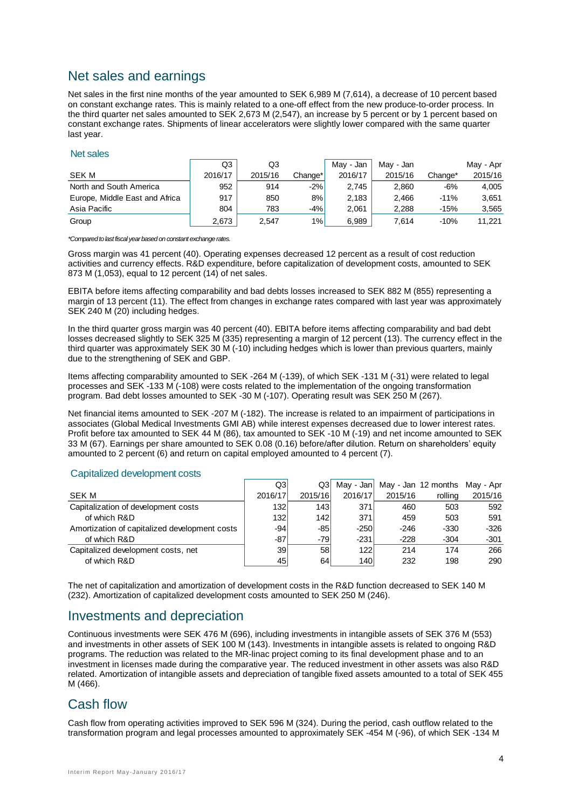# Net sales and earnings

Net sales in the first nine months of the year amounted to SEK 6,989 M (7,614), a decrease of 10 percent based on constant exchange rates. This is mainly related to a one-off effect from the new produce-to-order process. In the third quarter net sales amounted to SEK 2,673 M (2,547), an increase by 5 percent or by 1 percent based on constant exchange rates. Shipments of linear accelerators were slightly lower compared with the same quarter last year.

#### Net sales

|                                | Q3      | Q3      |         | May - Jan | May - Jan |         | May - Apr |
|--------------------------------|---------|---------|---------|-----------|-----------|---------|-----------|
| SEK M                          | 2016/17 | 2015/16 | Change* | 2016/17   | 2015/16   | Change* | 2015/16   |
| North and South America        | 952     | 914     | $-2%$   | 2.745     | 2,860     | $-6%$   | 4,005     |
| Europe, Middle East and Africa | 917     | 850     | 8%      | 2.183     | 2.466     | $-11%$  | 3.651     |
| Asia Pacific                   | 804     | 783     | $-4%$   | 2.061     | 2.288     | $-15%$  | 3,565     |
| Group                          | 2,673   | 2,547   | 1%      | 6,989     | 7.614     | $-10%$  | 11.221    |

*\*Compared to last fiscal year based on constant exchange rates.*

Gross margin was 41 percent (40). Operating expenses decreased 12 percent as a result of cost reduction activities and currency effects. R&D expenditure, before capitalization of development costs, amounted to SEK 873 M (1,053), equal to 12 percent (14) of net sales.

EBITA before items affecting comparability and bad debts losses increased to SEK 882 M (855) representing a margin of 13 percent (11). The effect from changes in exchange rates compared with last year was approximately SEK 240 M (20) including hedges.

In the third quarter gross margin was 40 percent (40). EBITA before items affecting comparability and bad debt losses decreased slightly to SEK 325 M (335) representing a margin of 12 percent (13). The currency effect in the third quarter was approximately SEK 30 M (-10) including hedges which is lower than previous quarters, mainly due to the strengthening of SEK and GBP.

Items affecting comparability amounted to SEK -264 M (-139), of which SEK -131 M (-31) were related to legal processes and SEK -133 M (-108) were costs related to the implementation of the ongoing transformation program. Bad debt losses amounted to SEK -30 M (-107). Operating result was SEK 250 M (267).

Net financial items amounted to SEK -207 M (-182). The increase is related to an impairment of participations in associates (Global Medical Investments GMI AB) while interest expenses decreased due to lower interest rates. Profit before tax amounted to SEK 44 M (86), tax amounted to SEK -10 M (-19) and net income amounted to SEK 33 M (67). Earnings per share amounted to SEK 0.08 (0.16) before/after dilution. Return on shareholders' equity amounted to 2 percent (6) and return on capital employed amounted to 4 percent (7).

#### Capitalized development costs

|                                               | Q3l     | Q3I             |         |         | May - Jan   May - Jan 12 months May - Apr |         |
|-----------------------------------------------|---------|-----------------|---------|---------|-------------------------------------------|---------|
| SEK M                                         | 2016/17 | 2015/16         | 2016/17 | 2015/16 | rolling                                   | 2015/16 |
| Capitalization of development costs           | 1321    | 143             | 371     | 460     | 503                                       | 592     |
| of which R&D                                  | 1321    | 142             | 371     | 459     | 503                                       | 591     |
| Amortization of capitalized development costs | -941    | -851            | $-250$  | $-246$  | $-330$                                    | $-326$  |
| of which R&D                                  | -87     | -791            | $-231$  | $-228$  | $-304$                                    | $-301$  |
| Capitalized development costs, net            | 39      | 58 <sub>l</sub> | 122     | 214     | 174                                       | 266     |
| of which R&D                                  | 45      | 64              | 140     | 232     | 198                                       | 290     |

The net of capitalization and amortization of development costs in the R&D function decreased to SEK 140 M (232). Amortization of capitalized development costs amounted to SEK 250 M (246).

# Investments and depreciation

Continuous investments were SEK 476 M (696), including investments in intangible assets of SEK 376 M (553) and investments in other assets of SEK 100 M (143). Investments in intangible assets is related to ongoing R&D programs. The reduction was related to the MR-linac project coming to its final development phase and to an investment in licenses made during the comparative year. The reduced investment in other assets was also R&D related. Amortization of intangible assets and depreciation of tangible fixed assets amounted to a total of SEK 455 M (466).

# Cash flow

Cash flow from operating activities improved to SEK 596 M (324). During the period, cash outflow related to the transformation program and legal processes amounted to approximately SEK -454 M (-96), of which SEK -134 M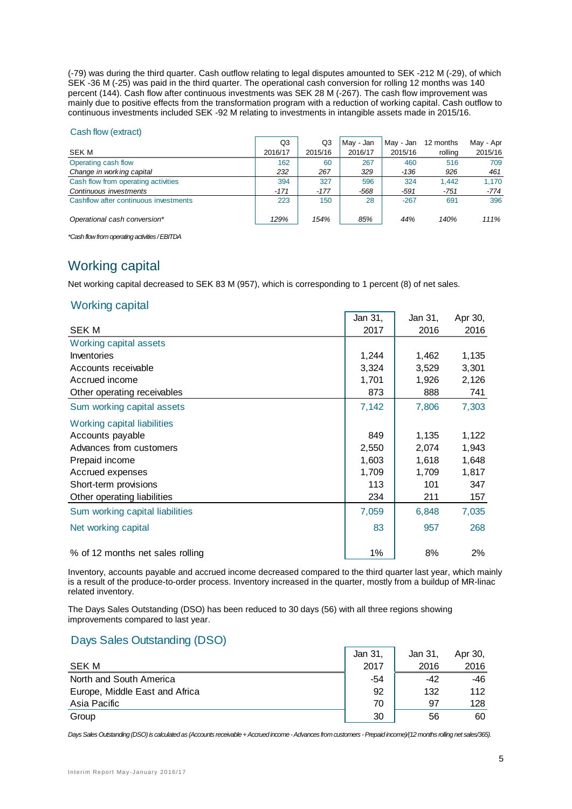(-79) was during the third quarter. Cash outflow relating to legal disputes amounted to SEK -212 M (-29), of which SEK -36 M (-25) was paid in the third quarter. The operational cash conversion for rolling 12 months was 140 percent (144). Cash flow after continuous investments was SEK 28 M (-267). The cash flow improvement was mainly due to positive effects from the transformation program with a reduction of working capital. Cash outflow to continuous investments included SEK -92 M relating to investments in intangible assets made in 2015/16.

#### Cash flow (extract)

|                                       | Q3      | Q3      | May - Jan | Mav - Jan | 12 months | May - Apr |
|---------------------------------------|---------|---------|-----------|-----------|-----------|-----------|
| SEK M                                 | 2016/17 | 2015/16 | 2016/17   | 2015/16   | rolling   | 2015/16   |
| Operating cash flow                   | 162     | 60      | 267       | 460       | 516       | 709       |
| Change in working capital             | 232     | 267     | 329       | $-136$    | 926       | 461       |
| Cash flow from operating activities   | 394     | 327     | 596       | 324       | 1.442     | 1.170     |
| Continuous investments                | $-171$  | $-177$  | -568      | -591      | $-751$    | -774      |
| Cashflow after continuous investments | 223     | 150     | 28        | $-267$    | 691       | 396       |
| Operational cash conversion*          | 129%    | 154%    | 85%       | 44%       | 140%      | 111%      |

*\*Cash flow from operating activities / EBITDA*

# Working capital

Net working capital decreased to SEK 83 M (957), which is corresponding to 1 percent (8) of net sales.

## Working capital

|                                  | Jan 31, | Jan 31, | Apr 30, |
|----------------------------------|---------|---------|---------|
| <b>SEKM</b>                      | 2017    | 2016    | 2016    |
| Working capital assets           |         |         |         |
| Inventories                      | 1,244   | 1,462   | 1,135   |
| Accounts receivable              | 3,324   | 3,529   | 3,301   |
| Accrued income                   | 1,701   | 1,926   | 2,126   |
| Other operating receivables      | 873     | 888     | 741     |
| Sum working capital assets       | 7,142   | 7,806   | 7,303   |
| Working capital liabilities      |         |         |         |
| Accounts payable                 | 849     | 1,135   | 1,122   |
| Advances from customers          | 2,550   | 2,074   | 1,943   |
| Prepaid income                   | 1,603   | 1,618   | 1,648   |
| Accrued expenses                 | 1,709   | 1,709   | 1,817   |
| Short-term provisions            | 113     | 101     | 347     |
| Other operating liabilities      | 234     | 211     | 157     |
| Sum working capital liabilities  | 7,059   | 6,848   | 7,035   |
| Net working capital              | 83      | 957     | 268     |
| % of 12 months net sales rolling | 1%      | 8%      | 2%      |

Inventory, accounts payable and accrued income decreased compared to the third quarter last year, which mainly is a result of the produce-to-order process. Inventory increased in the quarter, mostly from a buildup of MR-linac related inventory.

The Days Sales Outstanding (DSO) has been reduced to 30 days (56) with all three regions showing improvements compared to last year.

## Days Sales Outstanding (DSO)

|                                | Jan 31, | Jan 31, | Apr 30, |
|--------------------------------|---------|---------|---------|
| SEK M                          | 2017    | 2016    | 2016    |
| North and South America        | -54     | -42     | -46     |
| Europe, Middle East and Africa | 92      | 132     | 112     |
| Asia Pacific                   | 70      | 97      | 128     |
| Group                          | 30      | 56      | 60      |

*Days Sales Outstanding (DSO) is calculated as (Accounts receivable + Accrued income -Advances from customers -Prepaid income)/(12 months rolling net sales/365).*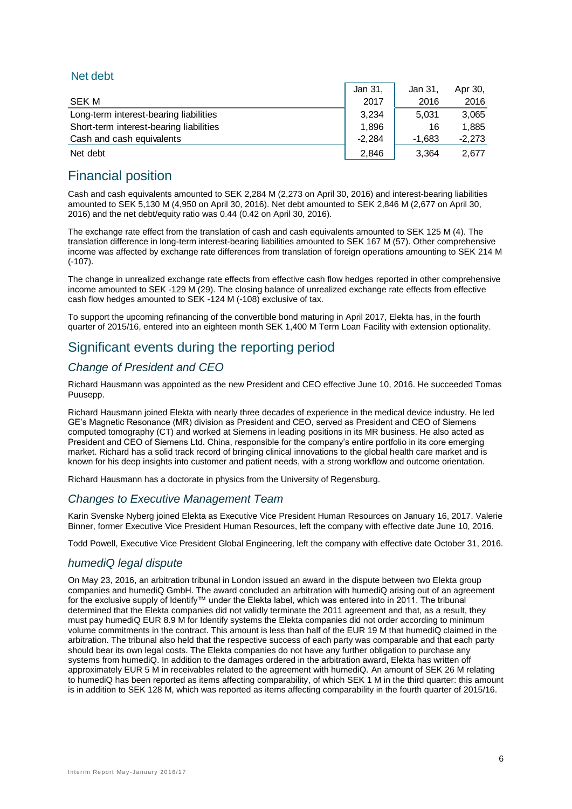## Net debt

|                                         | Jan 31.  | Jan 31.  | Apr 30,  |
|-----------------------------------------|----------|----------|----------|
| SEK M                                   | 2017     | 2016     | 2016     |
| Long-term interest-bearing liabilities  | 3.234    | 5.031    | 3.065    |
| Short-term interest-bearing liabilities | 1.896    | 16       | 1.885    |
| Cash and cash equivalents               | $-2.284$ | $-1.683$ | $-2.273$ |
| Net debt                                | 2.846    | 3.364    | 2.677    |

# Financial position

Cash and cash equivalents amounted to SEK 2,284 M (2,273 on April 30, 2016) and interest-bearing liabilities amounted to SEK 5,130 M (4,950 on April 30, 2016). Net debt amounted to SEK 2,846 M (2,677 on April 30, 2016) and the net debt/equity ratio was 0.44 (0.42 on April 30, 2016).

The exchange rate effect from the translation of cash and cash equivalents amounted to SEK 125 M (4). The translation difference in long-term interest-bearing liabilities amounted to SEK 167 M (57). Other comprehensive income was affected by exchange rate differences from translation of foreign operations amounting to SEK 214 M (-107).

The change in unrealized exchange rate effects from effective cash flow hedges reported in other comprehensive income amounted to SEK -129 M (29). The closing balance of unrealized exchange rate effects from effective cash flow hedges amounted to SEK -124 M (-108) exclusive of tax.

To support the upcoming refinancing of the convertible bond maturing in April 2017, Elekta has, in the fourth quarter of 2015/16, entered into an eighteen month SEK 1,400 M Term Loan Facility with extension optionality.

# Significant events during the reporting period

# *Change of President and CEO*

Richard Hausmann was appointed as the new President and CEO effective June 10, 2016. He succeeded Tomas Puusepp.

Richard Hausmann joined Elekta with nearly three decades of experience in the medical device industry. He led GE's Magnetic Resonance (MR) division as President and CEO, served as President and CEO of Siemens computed tomography (CT) and worked at Siemens in leading positions in its MR business. He also acted as President and CEO of Siemens Ltd. China, responsible for the company's entire portfolio in its core emerging market. Richard has a solid track record of bringing clinical innovations to the global health care market and is known for his deep insights into customer and patient needs, with a strong workflow and outcome orientation.

Richard Hausmann has a doctorate in physics from the University of Regensburg.

# *Changes to Executive Management Team*

Karin Svenske Nyberg joined Elekta as Executive Vice President Human Resources on January 16, 2017. Valerie Binner, former Executive Vice President Human Resources, left the company with effective date June 10, 2016.

Todd Powell, Executive Vice President Global Engineering, left the company with effective date October 31, 2016.

## *humediQ legal dispute*

On May 23, 2016, an arbitration tribunal in London issued an award in the dispute between two Elekta group companies and humediQ GmbH. The award concluded an arbitration with humediQ arising out of an agreement for the exclusive supply of Identify™ under the Elekta label, which was entered into in 2011. The tribunal determined that the Elekta companies did not validly terminate the 2011 agreement and that, as a result, they must pay humediQ EUR 8.9 M for Identify systems the Elekta companies did not order according to minimum volume commitments in the contract. This amount is less than half of the EUR 19 M that humediQ claimed in the arbitration. The tribunal also held that the respective success of each party was comparable and that each party should bear its own legal costs. The Elekta companies do not have any further obligation to purchase any systems from humediQ. In addition to the damages ordered in the arbitration award, Elekta has written off approximately EUR 5 M in receivables related to the agreement with humediQ. An amount of SEK 26 M relating to humediQ has been reported as items affecting comparability, of which SEK 1 M in the third quarter: this amount is in addition to SEK 128 M, which was reported as items affecting comparability in the fourth quarter of 2015/16.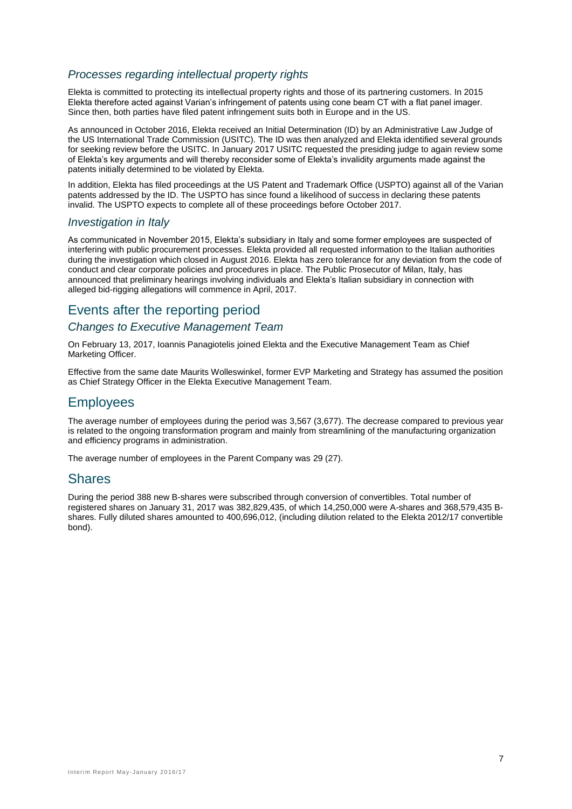## *Processes regarding intellectual property rights*

Elekta is committed to protecting its intellectual property rights and those of its partnering customers. In 2015 Elekta therefore acted against Varian's infringement of patents using cone beam CT with a flat panel imager. Since then, both parties have filed patent infringement suits both in Europe and in the US.

As announced in October 2016, Elekta received an Initial Determination (ID) by an Administrative Law Judge of the US International Trade Commission (USITC). The ID was then analyzed and Elekta identified several grounds for seeking review before the USITC. In January 2017 USITC requested the presiding judge to again review some of Elekta's key arguments and will thereby reconsider some of Elekta's invalidity arguments made against the patents initially determined to be violated by Elekta.

In addition, Elekta has filed proceedings at the US Patent and Trademark Office (USPTO) against all of the Varian patents addressed by the ID. The USPTO has since found a likelihood of success in declaring these patents invalid. The USPTO expects to complete all of these proceedings before October 2017.

## *Investigation in Italy*

As communicated in November 2015, Elekta's subsidiary in Italy and some former employees are suspected of interfering with public procurement processes. Elekta provided all requested information to the Italian authorities during the investigation which closed in August 2016. Elekta has zero tolerance for any deviation from the code of conduct and clear corporate policies and procedures in place. The Public Prosecutor of Milan, Italy, has announced that preliminary hearings involving individuals and Elekta's Italian subsidiary in connection with alleged bid-rigging allegations will commence in April, 2017.

# Events after the reporting period

## *Changes to Executive Management Team*

On February 13, 2017, Ioannis Panagiotelis joined Elekta and the Executive Management Team as Chief Marketing Officer.

Effective from the same date Maurits Wolleswinkel, former EVP Marketing and Strategy has assumed the position as Chief Strategy Officer in the Elekta Executive Management Team.

# **Employees**

The average number of employees during the period was 3,567 (3,677). The decrease compared to previous year is related to the ongoing transformation program and mainly from streamlining of the manufacturing organization and efficiency programs in administration.

The average number of employees in the Parent Company was 29 (27).

# **Shares**

During the period 388 new B-shares were subscribed through conversion of convertibles. Total number of registered shares on January 31, 2017 was 382,829,435, of which 14,250,000 were A-shares and 368,579,435 Bshares. Fully diluted shares amounted to 400,696,012, (including dilution related to the Elekta 2012/17 convertible bond).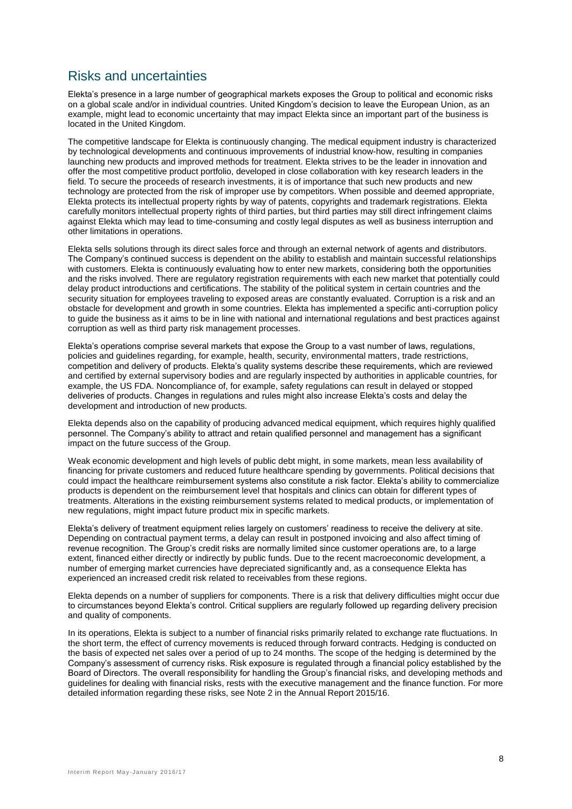# Risks and uncertainties

Elekta's presence in a large number of geographical markets exposes the Group to political and economic risks on a global scale and/or in individual countries. United Kingdom's decision to leave the European Union, as an example, might lead to economic uncertainty that may impact Elekta since an important part of the business is located in the United Kingdom.

The competitive landscape for Elekta is continuously changing. The medical equipment industry is characterized by technological developments and continuous improvements of industrial know-how, resulting in companies launching new products and improved methods for treatment. Elekta strives to be the leader in innovation and offer the most competitive product portfolio, developed in close collaboration with key research leaders in the field. To secure the proceeds of research investments, it is of importance that such new products and new technology are protected from the risk of improper use by competitors. When possible and deemed appropriate, Elekta protects its intellectual property rights by way of patents, copyrights and trademark registrations. Elekta carefully monitors intellectual property rights of third parties, but third parties may still direct infringement claims against Elekta which may lead to time-consuming and costly legal disputes as well as business interruption and other limitations in operations.

Elekta sells solutions through its direct sales force and through an external network of agents and distributors. The Company's continued success is dependent on the ability to establish and maintain successful relationships with customers. Elekta is continuously evaluating how to enter new markets, considering both the opportunities and the risks involved. There are regulatory registration requirements with each new market that potentially could delay product introductions and certifications. The stability of the political system in certain countries and the security situation for employees traveling to exposed areas are constantly evaluated. Corruption is a risk and an obstacle for development and growth in some countries. Elekta has implemented a specific anti-corruption policy to guide the business as it aims to be in line with national and international regulations and best practices against corruption as well as third party risk management processes.

Elekta's operations comprise several markets that expose the Group to a vast number of laws, regulations, policies and guidelines regarding, for example, health, security, environmental matters, trade restrictions, competition and delivery of products. Elekta's quality systems describe these requirements, which are reviewed and certified by external supervisory bodies and are regularly inspected by authorities in applicable countries, for example, the US FDA. Noncompliance of, for example, safety regulations can result in delayed or stopped deliveries of products. Changes in regulations and rules might also increase Elekta's costs and delay the development and introduction of new products.

Elekta depends also on the capability of producing advanced medical equipment, which requires highly qualified personnel. The Company's ability to attract and retain qualified personnel and management has a significant impact on the future success of the Group.

Weak economic development and high levels of public debt might, in some markets, mean less availability of financing for private customers and reduced future healthcare spending by governments. Political decisions that could impact the healthcare reimbursement systems also constitute a risk factor. Elekta's ability to commercialize products is dependent on the reimbursement level that hospitals and clinics can obtain for different types of treatments. Alterations in the existing reimbursement systems related to medical products, or implementation of new regulations, might impact future product mix in specific markets.

Elekta's delivery of treatment equipment relies largely on customers' readiness to receive the delivery at site. Depending on contractual payment terms, a delay can result in postponed invoicing and also affect timing of revenue recognition. The Group's credit risks are normally limited since customer operations are, to a large extent, financed either directly or indirectly by public funds. Due to the recent macroeconomic development, a number of emerging market currencies have depreciated significantly and, as a consequence Elekta has experienced an increased credit risk related to receivables from these regions.

Elekta depends on a number of suppliers for components. There is a risk that delivery difficulties might occur due to circumstances beyond Elekta's control. Critical suppliers are regularly followed up regarding delivery precision and quality of components.

In its operations, Elekta is subject to a number of financial risks primarily related to exchange rate fluctuations. In the short term, the effect of currency movements is reduced through forward contracts. Hedging is conducted on the basis of expected net sales over a period of up to 24 months. The scope of the hedging is determined by the Company's assessment of currency risks. Risk exposure is regulated through a financial policy established by the Board of Directors. The overall responsibility for handling the Group's financial risks, and developing methods and guidelines for dealing with financial risks, rests with the executive management and the finance function. For more detailed information regarding these risks, see Note 2 in the Annual Report 2015/16.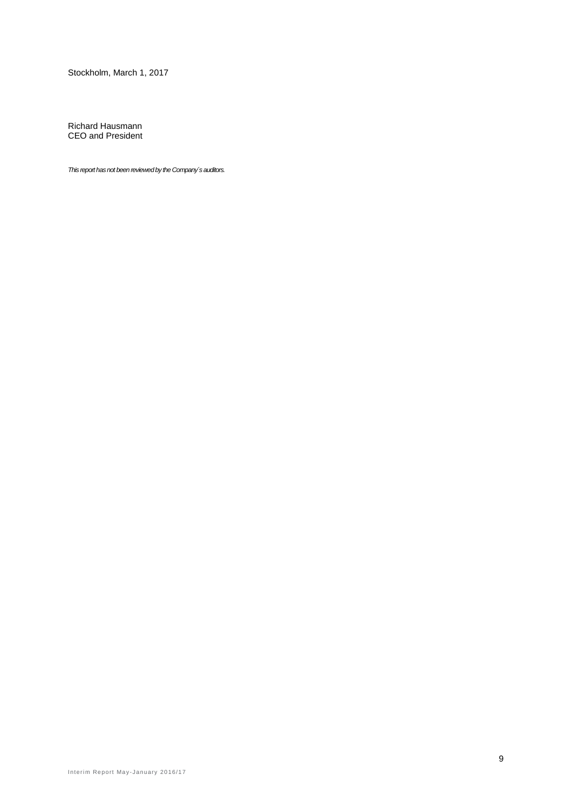Stockholm, March 1, 2017

Richard Hausmann CEO and President

*This report has not been reviewed by the Company´s auditors.*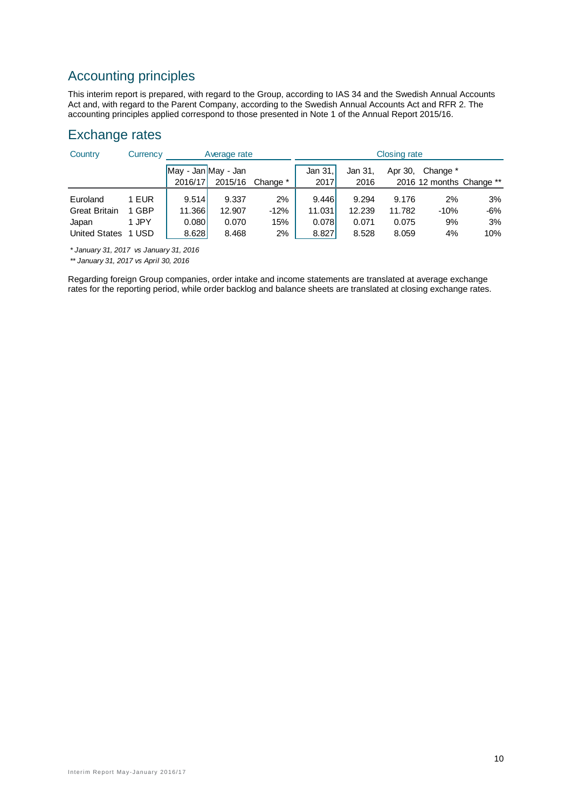# Accounting principles

This interim report is prepared, with regard to the Group, according to IAS 34 and the Swedish Annual Accounts Act and, with regard to the Parent Company, according to the Swedish Annual Accounts Act and RFR 2. The accounting principles applied correspond to those presented in Note 1 of the Annual Report 2015/16.

# Exchange rates

| Country              | Currency |                     | Average rate |          |         |         | <b>Closing rate</b> |                          |     |
|----------------------|----------|---------------------|--------------|----------|---------|---------|---------------------|--------------------------|-----|
|                      |          | May - Jan May - Jan |              |          | Jan 31. | Jan 31, | Apr 30,             | Change *                 |     |
|                      |          | 2016/17             | 2015/16      | Change * | 2017    | 2016    |                     | 2016 12 months Change ** |     |
| Euroland             | 1 EUR    | 9.514               | 9.337        | 2%       | 9.446   | 9.294   | 9.176               | 2%                       | 3%  |
| <b>Great Britain</b> | 1 GBP    | 11.366              | 12.907       | $-12%$   | 11.031  | 12.239  | 11.782              | $-10%$                   | -6% |
| Japan                | 1 JPY    | 0.080               | 0.070        | 15%      | 0.078   | 0.071   | 0.075               | 9%                       | 3%  |
| <b>United States</b> | 1 USD    | 8.628               | 8.468        | 2%       | 8.827   | 8.528   | 8.059               | 4%                       | 10% |

*\* January 31, 2017 vs January 31, 2016*

*\*\* January 31, 2017 vs April 30, 2016*

Regarding foreign Group companies, order intake and income statements are translated at average exchange rates for the reporting period, while order backlog and balance sheets are translated at closing exchange rates.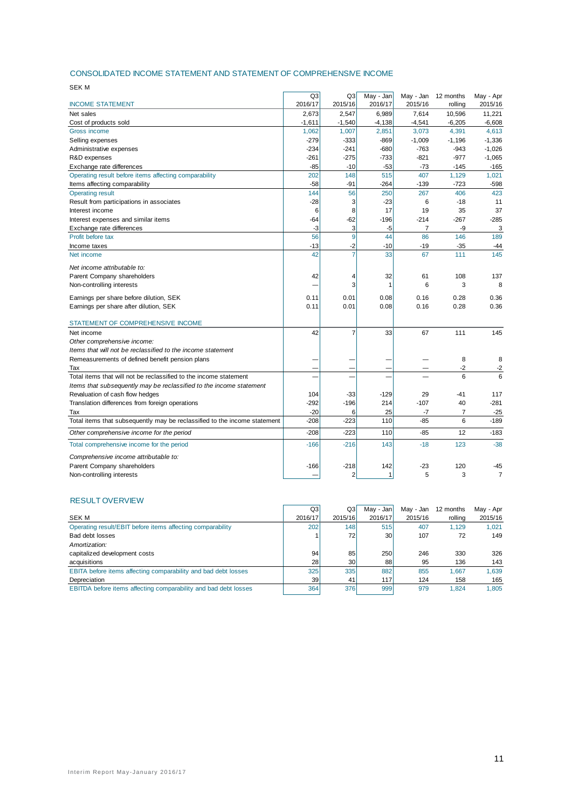#### CONSOLIDATED INCOME STATEMENT AND STATEMENT OF COMPREHENSIVE INCOME

| SEK M                                                                     |                |                |           |           |           |                |
|---------------------------------------------------------------------------|----------------|----------------|-----------|-----------|-----------|----------------|
|                                                                           | Q <sub>3</sub> | Q3             | May - Jan | May - Jan | 12 months | May - Apr      |
| <b>INCOME STATEMENT</b>                                                   | 2016/17        | 2015/16        | 2016/17   | 2015/16   | rolling   | 2015/16        |
| Net sales                                                                 | 2,673          | 2,547          | 6,989     | 7,614     | 10,596    | 11,221         |
| Cost of products sold                                                     | $-1,611$       | $-1,540$       | $-4,138$  | $-4,541$  | $-6,205$  | $-6,608$       |
| Gross income                                                              | 1,062          | 1,007          | 2,851     | 3,073     | 4,391     | 4,613          |
| Selling expenses                                                          | $-279$         | $-333$         | $-869$    | $-1,009$  | $-1,196$  | $-1,336$       |
| Administrative expenses                                                   | $-234$         | $-241$         | $-680$    | $-763$    | $-943$    | $-1,026$       |
| R&D expenses                                                              | $-261$         | $-275$         | $-733$    | $-821$    | $-977$    | $-1,065$       |
| Exchange rate differences                                                 | $-85$          | $-10$          | $-53$     | $-73$     | $-145$    | $-165$         |
| Operating result before items affecting comparability                     | 202            | 148            | 515       | 407       | 1,129     | 1,021          |
| Items affecting comparability                                             | $-58$          | $-91$          | $-264$    | $-139$    | $-723$    | $-598$         |
| <b>Operating result</b>                                                   | 144            | 56             | 250       | 267       | 406       | 423            |
| Result from participations in associates                                  | $-28$          | 3              | $-23$     | 6         | $-18$     | 11             |
| Interest income                                                           | 6              | 8              | 17        | 19        | 35        | 37             |
| Interest expenses and similar items                                       | $-64$          | $-62$          | $-196$    | $-214$    | $-267$    | $-285$         |
| Exchange rate differences                                                 | -3             | 3              | -5        | 7         | -9        | 3              |
| Profit before tax                                                         | 56             | 9              | 44        | 86        | 146       | 189            |
| Income taxes                                                              | $-13$          | $-2$           | $-10$     | $-19$     | $-35$     | $-44$          |
| Net income                                                                | 42             | $\overline{7}$ | 33        | 67        | 111       | 145            |
| Net income attributable to:                                               |                |                |           |           |           |                |
| Parent Company shareholders                                               | 42             | 4              | 32        | 61        | 108       | 137            |
| Non-controlling interests                                                 |                | 3              | 1         | 6         | 3         | 8              |
| Earnings per share before dilution, SEK                                   | 0.11           | 0.01           | 0.08      | 0.16      | 0.28      | 0.36           |
| Earnings per share after dilution, SEK                                    | 0.11           | 0.01           | 0.08      | 0.16      | 0.28      | 0.36           |
|                                                                           |                |                |           |           |           |                |
| STATEMENT OF COMPREHENSIVE INCOME                                         |                |                |           |           |           |                |
| Net income                                                                | 42             | $\overline{7}$ | 33        | 67        | 111       | 145            |
| Other comprehensive income:                                               |                |                |           |           |           |                |
| Items that will not be reclassified to the income statement               |                |                |           |           |           |                |
| Remeasurements of defined benefit pension plans                           |                |                |           |           | 8         | 8              |
| Tax                                                                       |                |                |           |           | $-2$      | $-2$           |
| Total items that will not be reclassified to the income statement         |                |                |           |           | 6         | 6              |
| Items that subsequently may be reclassified to the income statement       |                |                |           |           |           |                |
| Revaluation of cash flow hedges                                           | 104            | $-33$          | $-129$    | 29        | -41       | 117            |
| Translation differences from foreign operations                           | $-292$         | $-196$         | 214       | $-107$    | 40        | $-281$         |
| Tax                                                                       | $-20$          | 6              | 25        | $-7$      | 7         | $-25$          |
| Total items that subsequently may be reclassified to the income statement | $-208$         | $-223$         | 110       | $-85$     | 6         | $-189$         |
| Other comprehensive income for the period                                 | $-208$         | $-223$         | 110       | $-85$     | 12        | $-183$         |
| Total comprehensive income for the period                                 | $-166$         | $-216$         | 143       | $-18$     | 123       | $-38$          |
| Comprehensive income attributable to:                                     |                |                |           |           |           |                |
| Parent Company shareholders                                               | $-166$         | $-218$         | 142       | $-23$     | 120       | -45            |
| Non-controlling interests                                                 |                | 2              | 1         | 5         | 3         | $\overline{7}$ |
|                                                                           |                |                |           |           |           |                |

## RESULT OVERVIEW

|                                                                 | Q3      | Q3      | Mav - Janl      | Mav - Jan | 12 months | May - Apr |
|-----------------------------------------------------------------|---------|---------|-----------------|-----------|-----------|-----------|
| SEK M                                                           | 2016/17 | 2015/16 | 2016/17         | 2015/16   | rolling   | 2015/16   |
| Operating result/EBIT before items affecting comparability      | 202     | 148     | 515             | 407       | 1.129     | 1.021     |
| Bad debt losses                                                 |         | 72      | 30 <sup>1</sup> | 107       | 72        | 149       |
| Amortization:                                                   |         |         |                 |           |           |           |
| capitalized development costs                                   | 94      | 85      | 250             | 246       | 330       | 326       |
| acquisitions                                                    | 28      | 30      | 88              | 95        | 136       | 143       |
| EBITA before items affecting comparability and bad debt losses  | 325     | 335     | 882             | 855       | 1.667     | 1.639     |
| Depreciation                                                    | 39      | 41      | 117             | 124       | 158       | 165       |
| EBITDA before items affecting comparability and bad debt losses | 364     | 376     | 999             | 979       | 1.824     | 1.805     |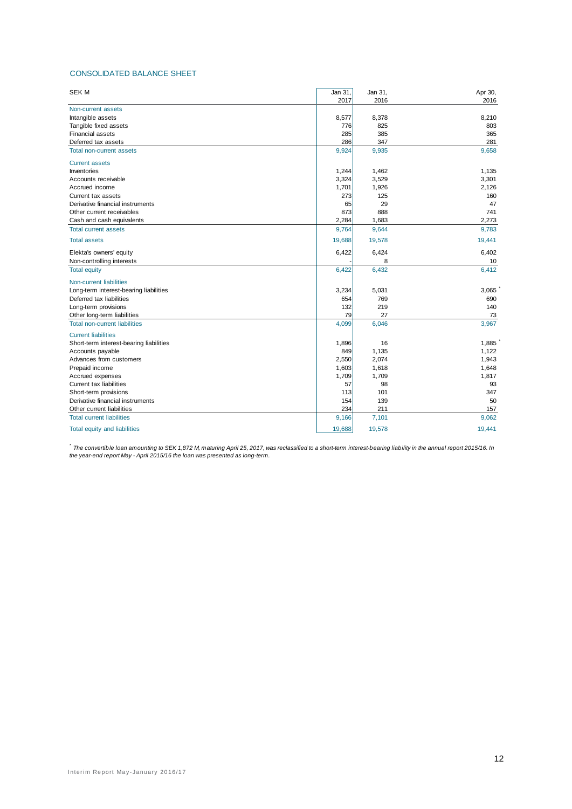#### CONSOLIDATED BALANCE SHEET

| <b>SEK M</b>                            | Jan 31, | Jan 31, | Apr 30, |
|-----------------------------------------|---------|---------|---------|
|                                         | 2017    | 2016    | 2016    |
| Non-current assets                      |         |         |         |
| Intangible assets                       | 8,577   | 8,378   | 8,210   |
| Tangible fixed assets                   | 776     | 825     | 803     |
| <b>Financial assets</b>                 | 285     | 385     | 365     |
| Deferred tax assets                     | 286     | 347     | 281     |
| <b>Total non-current assets</b>         | 9,924   | 9,935   | 9,658   |
| <b>Current assets</b>                   |         |         |         |
| Inventories                             | 1,244   | 1,462   | 1,135   |
| Accounts receivable                     | 3,324   | 3,529   | 3,301   |
| Accrued income                          | 1,701   | 1,926   | 2,126   |
| Current tax assets                      | 273     | 125     | 160     |
| Derivative financial instruments        | 65      | 29      | 47      |
| Other current receivables               | 873     | 888     | 741     |
| Cash and cash equivalents               | 2,284   | 1,683   | 2,273   |
| <b>Total current assets</b>             | 9,764   | 9,644   | 9,783   |
| <b>Total assets</b>                     | 19,688  | 19,578  | 19,441  |
| Elekta's owners' equity                 | 6,422   | 6,424   | 6,402   |
| Non-controlling interests               |         | 8       | 10      |
| <b>Total equity</b>                     | 6,422   | 6,432   | 6,412   |
| <b>Non-current liabilities</b>          |         |         |         |
| Long-term interest-bearing liabilities  | 3,234   | 5,031   | 3,065   |
| Deferred tax liabilities                | 654     | 769     | 690     |
| Long-term provisions                    | 132     | 219     | 140     |
| Other long-term liabilities             | 79      | 27      | 73      |
| <b>Total non-current liabilities</b>    | 4,099   | 6,046   | 3,967   |
| <b>Current liabilities</b>              |         |         |         |
| Short-term interest-bearing liabilities | 1,896   | 16      | 1,885   |
| Accounts payable                        | 849     | 1,135   | 1,122   |
| Advances from customers                 | 2,550   | 2,074   | 1,943   |
| Prepaid income                          | 1,603   | 1,618   | 1,648   |
| Accrued expenses                        | 1,709   | 1,709   | 1,817   |
| Current tax liabilities                 | 57      | 98      | 93      |
| Short-term provisions                   | 113     | 101     | 347     |
| Derivative financial instruments        | 154     | 139     | 50      |
| Other current liabilities               | 234     | 211     | 157     |
| <b>Total current liabilities</b>        | 9,166   | 7,101   | 9,062   |
| Total equity and liabilities            | 19,688  | 19,578  | 19,441  |

*\* The convertible loan amounting to SEK 1,872 M, maturing April 25, 2017, was reclassified to a short-term interest-bearing liability in the annual report 2015/16. In the year-end report May - April 2015/16 the loan was presented as long-term.*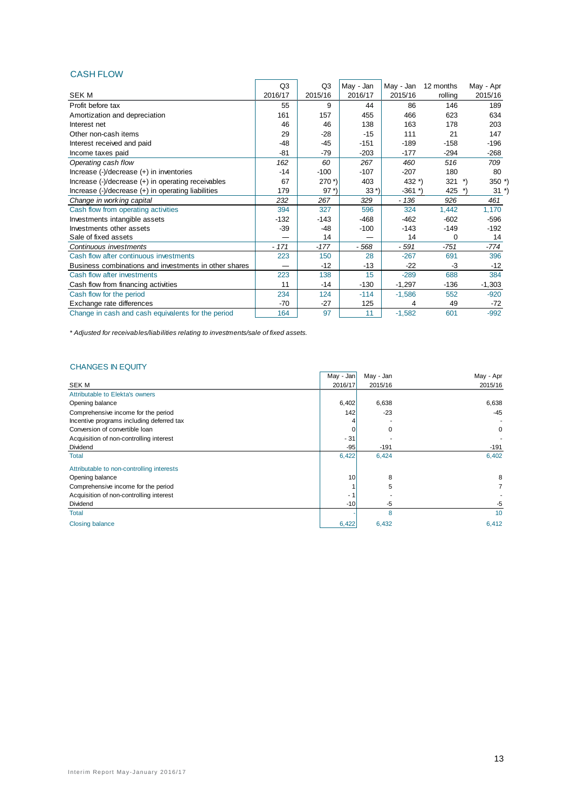## CASH FLOW

|                                                       | Q <sub>3</sub> | Q <sub>3</sub>       | May - Jan | May - Jan  | 12 months | May - Apr           |
|-------------------------------------------------------|----------------|----------------------|-----------|------------|-----------|---------------------|
| <b>SEK M</b>                                          | 2016/17        | 2015/16              | 2016/17   | 2015/16    | rolling   | 2015/16             |
| Profit before tax                                     | 55             | 9                    | 44        | 86         | 146       | 189                 |
| Amortization and depreciation                         | 161            | 157                  | 455       | 466        | 623       | 634                 |
| Interest net                                          | 46             | 46                   | 138       | 163        | 178       | 203                 |
| Other non-cash items                                  | 29             | $-28$                | $-15$     | 111        | 21        | 147                 |
| Interest received and paid                            | $-48$          | $-45$                | $-151$    | $-189$     | $-158$    | $-196$              |
| Income taxes paid                                     | $-81$          | $-79$                | $-203$    | $-177$     | $-294$    | $-268$              |
| Operating cash flow                                   | 162            | 60                   | 267       | 460        | 516       | 709                 |
| Increase $(-)/$ decrease $(+)$ in inventories         | $-14$          | $-100$               | $-107$    | $-207$     | 180       | 80                  |
| Increase (-)/decrease (+) in operating receivables    | 67             | $270$ <sup>*</sup> ) | 403       | 432 $^*$ ) | 321       | $\cdot$<br>$350$ *) |
| Increase (-)/decrease (+) in operating liabilities    | 179            | $97 *$               | $33*)$    | $-361$ *)  | 425       | $31 *$              |
| Change in working capital                             | 232            | 267                  | 329       | $-136$     | 926       | 461                 |
| Cash flow from operating activities                   | 394            | 327                  | 596       | 324        | 1,442     | 1,170               |
| Investments intangible assets                         | $-132$         | $-143$               | $-468$    | $-462$     | $-602$    | $-596$              |
| Investments other assets                              | -39            | $-48$                | $-100$    | $-143$     | $-149$    | $-192$              |
| Sale of fixed assets                                  |                | 14                   |           | 14         | 0         | 14                  |
| Continuous investments                                | $-171$         | $-177$               | - 568     | - 591      | $-751$    | -774                |
| Cash flow after continuous investments                | 223            | 150                  | 28        | $-267$     | 691       | 396                 |
| Business combinations and investments in other shares |                | $-12$                | $-13$     | $-22$      | -3        | $-12$               |
| Cash flow after investments                           | 223            | 138                  | 15        | $-289$     | 688       | 384                 |
| Cash flow from financing activities                   | 11             | $-14$                | $-130$    | $-1,297$   | $-136$    | $-1,303$            |
| Cash flow for the period                              | 234            | 124                  | $-114$    | $-1,586$   | 552       | $-920$              |
| Exchange rate differences                             | $-70$          | $-27$                | 125       | 4          | 49        | $-72$               |
| Change in cash and cash equivalents for the period    | 164            | 97                   | 11        | $-1,582$   | 601       | $-992$              |

*\* Adjusted for receivables/liabilities relating to investments/sale of fixed assets.*

## CHANGES IN EQUITY

|                                           | May - Jan | May - Jan | May - Apr |
|-------------------------------------------|-----------|-----------|-----------|
| <b>SEKM</b>                               | 2016/17   | 2015/16   | 2015/16   |
| Attributable to Elekta's owners           |           |           |           |
| Opening balance                           | 6,402     | 6,638     | 6,638     |
| Comprehensive income for the period       | 142       | $-23$     | $-45$     |
| Incentive programs including deferred tax |           |           |           |
| Conversion of convertible loan            |           | $\Omega$  | 0         |
| Acquisition of non-controlling interest   | $-31$     |           |           |
| Dividend                                  | $-95$     | $-191$    | $-191$    |
| Total                                     | 6,422     | 6,424     | 6,402     |
| Attributable to non-controlling interests |           |           |           |
| Opening balance                           | 10        | 8         | 8         |
| Comprehensive income for the period       |           | 5         |           |
| Acquisition of non-controlling interest   | - 1       |           |           |
| Dividend                                  | $-10$     | -5        | -5        |
| Total                                     |           | 8         | 10        |
| <b>Closing balance</b>                    | 6,422     | 6,432     | 6,412     |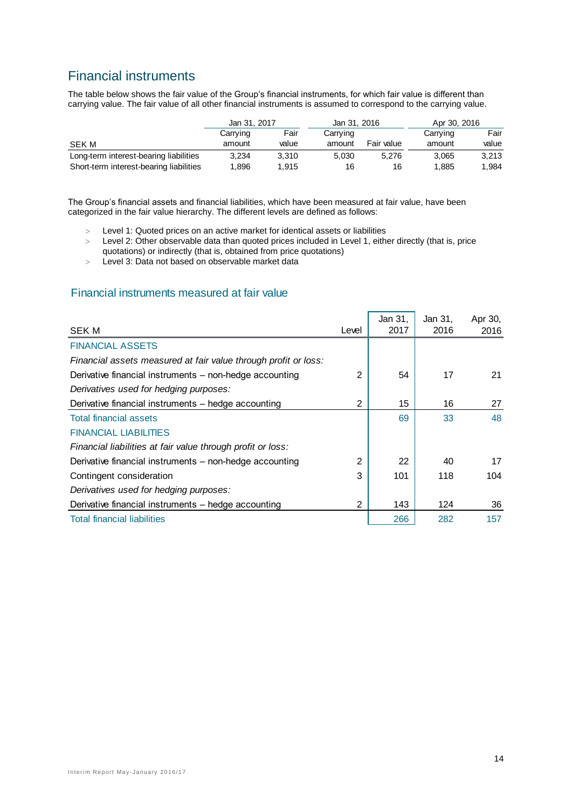# Financial instruments

The table below shows the fair value of the Group's financial instruments, for which fair value is different than carrying value. The fair value of all other financial instruments is assumed to correspond to the carrying value.

|                                         | Jan 31, 2017 |       | Jan 31, 2016 |            | Apr 30, 2016 |       |  |
|-----------------------------------------|--------------|-------|--------------|------------|--------------|-------|--|
|                                         | Carrying     | Fair  | Carrying     |            | Carrying     | Fair  |  |
| SEK M                                   | amount       | value | amount       | Fair value | amount       | value |  |
| Long-term interest-bearing liabilities  | 3.234        | 3.310 | 5.030        | 5.276      | 3.065        | 3.213 |  |
| Short-term interest-bearing liabilities | .896         | 1.915 | 16           | 16         | 1,885        | 1.984 |  |

The Group's financial assets and financial liabilities, which have been measured at fair value, have been categorized in the fair value hierarchy. The different levels are defined as follows:

- Level 1: Quoted prices on an active market for identical assets or liabilities
- Level 2: Other observable data than quoted prices included in Level 1, either directly (that is, price quotations) or indirectly (that is, obtained from price quotations)
- Level 3: Data not based on observable market data

## Financial instruments measured at fair value

| <b>SEK M</b>                                                    | Level          | Jan 31,<br>2017 | Jan 31,<br>2016 | Apr 30,<br>2016 |
|-----------------------------------------------------------------|----------------|-----------------|-----------------|-----------------|
|                                                                 |                |                 |                 |                 |
| <b>FINANCIAL ASSETS</b>                                         |                |                 |                 |                 |
| Financial assets measured at fair value through profit or loss: |                |                 |                 |                 |
| Derivative financial instruments - non-hedge accounting         | 2              | 54              | 17              | 21              |
| Derivatives used for hedging purposes:                          |                |                 |                 |                 |
| Derivative financial instruments - hedge accounting             | $\overline{2}$ | 15              | 16              | 27              |
| <b>Total financial assets</b>                                   |                | 69              | 33              | 48              |
| <b>FINANCIAL LIABILITIES</b>                                    |                |                 |                 |                 |
| Financial liabilities at fair value through profit or loss:     |                |                 |                 |                 |
| Derivative financial instruments - non-hedge accounting         | 2              | 22              | 40              | 17              |
| Contingent consideration                                        | 3              | 101             | 118             | 104             |
| Derivatives used for hedging purposes:                          |                |                 |                 |                 |
| Derivative financial instruments - hedge accounting             | 2              | 143             | 124             | 36              |
| <b>Total financial liabilities</b>                              |                | 266             | 282             | 157             |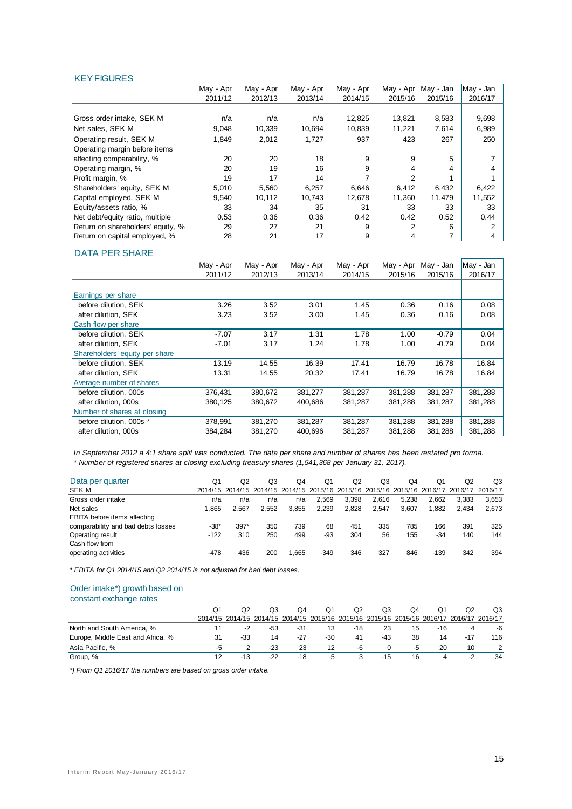#### **KEY FIGURES**

|                                   | May - Apr | May - Apr | May - Apr | May - Apr | May - Apr | May - Jan | May - Jan |
|-----------------------------------|-----------|-----------|-----------|-----------|-----------|-----------|-----------|
|                                   | 2011/12   | 2012/13   | 2013/14   | 2014/15   | 2015/16   | 2015/16   | 2016/17   |
|                                   |           |           |           |           |           |           |           |
| Gross order intake, SEK M         | n/a       | n/a       | n/a       | 12,825    | 13,821    | 8,583     | 9,698     |
| Net sales, SEK M                  | 9.048     | 10,339    | 10.694    | 10,839    | 11,221    | 7,614     | 6,989     |
| Operating result, SEK M           | 1,849     | 2,012     | 1,727     | 937       | 423       | 267       | 250       |
| Operating margin before items     |           |           |           |           |           |           |           |
| affecting comparability, %        | 20        | 20        | 18        | 9         | 9         | 5         |           |
| Operating margin, %               | 20        | 19        | 16        | 9         | 4         | 4         |           |
| Profit margin, %                  | 19        | 17        | 14        |           | 2         |           |           |
| Shareholders' equity, SEK M       | 5,010     | 5,560     | 6,257     | 6,646     | 6,412     | 6,432     | 6,422     |
| Capital employed, SEK M           | 9.540     | 10,112    | 10,743    | 12,678    | 11,360    | 11,479    | 11,552    |
| Equity/assets ratio, %            | 33        | 34        | 35        | 31        | 33        | 33        | 33        |
| Net debt/equity ratio, multiple   | 0.53      | 0.36      | 0.36      | 0.42      | 0.42      | 0.52      | 0.44      |
| Return on shareholders' equity, % | 29        | 27        | 21        | 9         | 2         | 6         | 2         |
| Return on capital employed, %     | 28        | 21        | 17        | 9         | 4         | 7         | 4         |

#### DATA PER SHARE

|                                | May - Apr | May - Apr | May - Apr | May - Apr | May - Apr | May - Jan | May - Jan |
|--------------------------------|-----------|-----------|-----------|-----------|-----------|-----------|-----------|
|                                | 2011/12   | 2012/13   | 2013/14   | 2014/15   | 2015/16   | 2015/16   | 2016/17   |
|                                |           |           |           |           |           |           |           |
| Earnings per share             |           |           |           |           |           |           |           |
| before dilution, SEK           | 3.26      | 3.52      | 3.01      | 1.45      | 0.36      | 0.16      | 0.08      |
| after dilution, SEK            | 3.23      | 3.52      | 3.00      | 1.45      | 0.36      | 0.16      | 0.08      |
| Cash flow per share            |           |           |           |           |           |           |           |
| before dilution. SEK           | $-7.07$   | 3.17      | 1.31      | 1.78      | 1.00      | $-0.79$   | 0.04      |
| after dilution, SEK            | $-7.01$   | 3.17      | 1.24      | 1.78      | 1.00      | $-0.79$   | 0.04      |
| Shareholders' equity per share |           |           |           |           |           |           |           |
| before dilution, SEK           | 13.19     | 14.55     | 16.39     | 17.41     | 16.79     | 16.78     | 16.84     |
| after dilution, SEK            | 13.31     | 14.55     | 20.32     | 17.41     | 16.79     | 16.78     | 16.84     |
| Average number of shares       |           |           |           |           |           |           |           |
| before dilution, 000s          | 376,431   | 380,672   | 381,277   | 381,287   | 381,288   | 381,287   | 381,288   |
| after dilution, 000s           | 380,125   | 380,672   | 400,686   | 381,287   | 381,288   | 381,287   | 381,288   |
| Number of shares at closing    |           |           |           |           |           |           |           |
| before dilution. 000s *        | 378.991   | 381,270   | 381,287   | 381.287   | 381,288   | 381,288   | 381,288   |
| after dilution, 000s           | 384,284   | 381,270   | 400.696   | 381,287   | 381.288   | 381,288   | 381,288   |

*In September 2012 a 4:1 share split was conducted. The data per share and number of shares has been restated pro forma. \* Number of registered shares at closing excluding treasury shares (1,541,368 per January 31, 2017).*

| Data per quarter                   | Q1     | Q2     | Q3    | O4    | O <sub>1</sub> | Q <sub>2</sub> | Q3    | O4    | Q1     | O2                                                                                      | Q3    |
|------------------------------------|--------|--------|-------|-------|----------------|----------------|-------|-------|--------|-----------------------------------------------------------------------------------------|-------|
| SEK M                              |        |        |       |       |                |                |       |       |        | 2014/15 2014/15 2014/15 2014/15 2015/16 2015/16 2015/16 2015/16 2016/17 2016/17 2016/17 |       |
| Gross order intake                 | n/a    | n/a    | n/a   | n/a   | 2.569          | 3,398          | 2.616 | 5.238 | 2.662  | 3.383                                                                                   | 3,653 |
| Net sales                          | 1.865  | 2.567  | 2.552 | 3.855 | 2.239          | 2.828          | 2.547 | 3.607 | 1.882  | 2.434                                                                                   | 2,673 |
| EBITA before items affecting       |        |        |       |       |                |                |       |       |        |                                                                                         |       |
| comparability and bad debts losses | -38*   | $397*$ | 350   | 739   | 68             | 451            | 335   | 785   | 166    | 391                                                                                     | 325   |
| Operating result                   | $-122$ | 310    | 250   | 499   | -93            | 304            | 56    | 155   | $-34$  | 140                                                                                     | 144   |
| Cash flow from                     |        |        |       |       |                |                |       |       |        |                                                                                         |       |
| operating activities               | -478   | 436    | 200   | 1.665 | $-349$         | 346            | 327   | 846   | $-139$ | 342                                                                                     | 394   |
|                                    |        |        |       |       |                |                |       |       |        |                                                                                         |       |

*\* EBITA for Q1 2014/15 and Q2 2014/15 is not adjusted for bad debt losses.* 

## Order intake\*) growth based on

#### constant exchange rates

|                                   | O1 | O2                                                                                      | QЗ    | O4    | O1  | Q2    | OЗ  | O4 | Ο1  |       | Q3  |
|-----------------------------------|----|-----------------------------------------------------------------------------------------|-------|-------|-----|-------|-----|----|-----|-------|-----|
|                                   |    | 2014/15 2014/15 2014/15 2014/15 2015/16 2015/16 2015/16 2015/16 2016/17 2016/17 2016/17 |       |       |     |       |     |    |     |       |     |
| North and South America, %        |    | -2                                                                                      | -53   | -31   | 13  | $-18$ | 23  | 15 | -16 |       | -6  |
| Europe, Middle East and Africa, % | 31 | -33                                                                                     | 14    | -27   | -30 | 41    | -43 | 38 | 14  | $-17$ | 116 |
| Asia Pacific. %                   |    |                                                                                         | $-23$ | 23    | 12  | -6    |     | -5 | 20  | 10    |     |
| Group, %                          |    | $-13$                                                                                   | $-22$ | $-18$ | -5  | 3     | -15 | 16 |     | -2    | 34  |

*\*) From Q1 2016/17 the numbers are based on gross order intake.*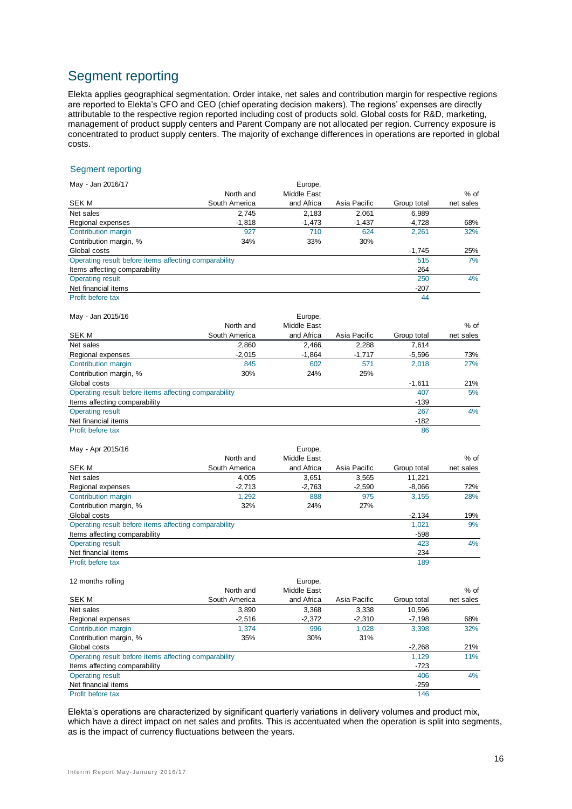# Segment reporting

Elekta applies geographical segmentation. Order intake, net sales and contribution margin for respective regions are reported to Elekta's CFO and CEO (chief operating decision makers). The regions' expenses are directly attributable to the respective region reported including cost of products sold. Global costs for R&D, marketing, management of product supply centers and Parent Company are not allocated per region. Currency exposure is concentrated to product supply centers. The majority of exchange differences in operations are reported in global costs.

#### Segment reporting

| May - Jan 2016/17                                     |               | Europe,            |              |             |           |
|-------------------------------------------------------|---------------|--------------------|--------------|-------------|-----------|
|                                                       | North and     | Middle East        |              |             | % of      |
| <b>SEK M</b>                                          | South America | and Africa         | Asia Pacific | Group total | net sales |
| Net sales                                             | 2,745         | 2,183              | 2,061        | 6,989       |           |
| Regional expenses                                     | $-1,818$      | $-1,473$           | $-1,437$     | $-4,728$    | 68%       |
| Contribution margin                                   | 927           | 710                | 624          | 2,261       | 32%       |
| Contribution margin, %                                | 34%           | 33%                | 30%          |             |           |
| Global costs                                          |               |                    |              | $-1,745$    | 25%       |
| Operating result before items affecting comparability |               |                    |              | 515         | 7%        |
| Items affecting comparability                         |               |                    |              | $-264$      |           |
| <b>Operating result</b>                               |               |                    |              | 250         | 4%        |
| Net financial items                                   |               |                    |              | -207        |           |
| Profit before tax                                     |               |                    |              | 44          |           |
| May - Jan 2015/16                                     |               | Europe,            |              |             |           |
|                                                       | North and     | Middle East        |              |             | % of      |
| <b>SEKM</b>                                           | South America | and Africa         | Asia Pacific | Group total | net sales |
| Net sales                                             | 2,860         | 2,466              | 2,288        | 7,614       |           |
| Regional expenses                                     | $-2,015$      | $-1,864$           | $-1,717$     | $-5,596$    | 73%       |
| Contribution margin                                   | 845           | 602                | 571          | 2,018       | 27%       |
| Contribution margin, %                                | 30%           | 24%                | 25%          |             |           |
| Global costs                                          |               |                    |              | $-1,611$    | 21%       |
| Operating result before items affecting comparability |               |                    |              | 407         | 5%        |
| Items affecting comparability                         |               |                    |              | $-139$      |           |
| <b>Operating result</b>                               |               |                    |              | 267         | 4%        |
| Net financial items                                   |               |                    |              | $-182$      |           |
| Profit before tax                                     |               |                    |              | 86          |           |
| May - Apr 2015/16                                     |               | Europe,            |              |             |           |
|                                                       | North and     | <b>Middle East</b> |              |             | $%$ of    |
| <b>SEK M</b>                                          | South America | and Africa         | Asia Pacific | Group total | net sales |
| Net sales                                             | 4,005         | 3,651              | 3,565        | 11,221      |           |
| Regional expenses                                     | $-2.713$      | $-2.763$           | $-2.590$     | $-8,066$    | 72%       |
| Contribution margin                                   | 1,292         | 888                | 975          | 3,155       | 28%       |
| Contribution margin, %                                | 32%           | 24%                | 27%          |             |           |
| Global costs                                          |               |                    |              | $-2,134$    | 19%       |
| Operating result before items affecting comparability |               |                    |              | 1,021       | 9%        |
| Items affecting comparability                         |               |                    |              | $-598$      |           |
| <b>Operating result</b>                               |               |                    |              | 423         | 4%        |
| Net financial items                                   |               |                    |              | $-234$      |           |
| Profit before tax                                     |               |                    |              | 189         |           |
| 12 months rolling                                     |               | Europe,            |              |             |           |
|                                                       | North and     | Middle East        |              |             | $%$ of    |

|                                                       | North and     | Middle East |              |             | $%$ of    |
|-------------------------------------------------------|---------------|-------------|--------------|-------------|-----------|
| SEK M                                                 | South America | and Africa  | Asia Pacific | Group total | net sales |
| Net sales                                             | 3,890         | 3,368       | 3,338        | 10,596      |           |
| Regional expenses                                     | $-2,516$      | $-2,372$    | $-2,310$     | $-7,198$    | 68%       |
| Contribution margin                                   | 1.374         | 996         | 1.028        | 3.398       | 32%       |
| Contribution margin, %                                | 35%           | 30%         | 31%          |             |           |
| Global costs                                          |               |             |              | $-2,268$    | 21%       |
| Operating result before items affecting comparability |               |             |              | 1.129       | 11%       |
| Items affecting comparability                         |               |             |              | -723        |           |
| <b>Operating result</b>                               |               |             |              | 406         | 4%        |
| Net financial items                                   |               |             |              | $-259$      |           |
| Profit before tax                                     |               |             |              | 146         |           |

Elekta's operations are characterized by significant quarterly variations in delivery volumes and product mix, which have a direct impact on net sales and profits. This is accentuated when the operation is split into segments, as is the impact of currency fluctuations between the years.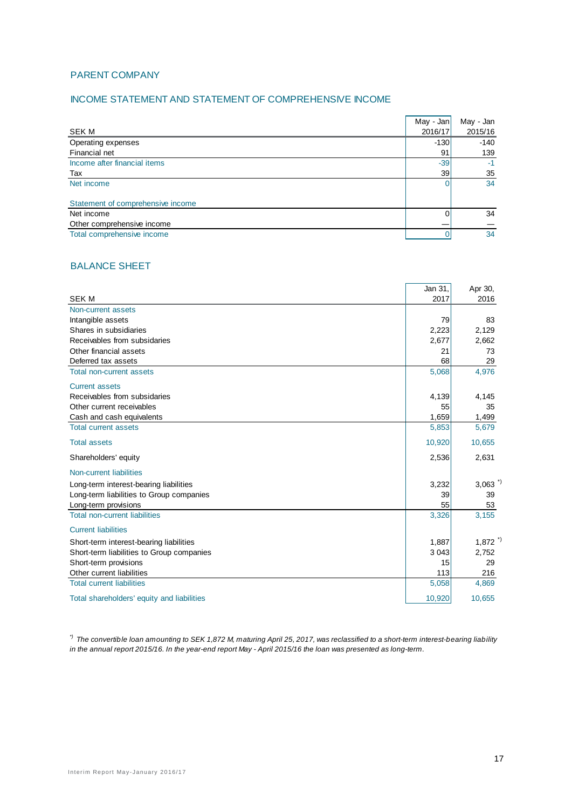## PARENT COMPANY

## INCOME STATEMENT AND STATEMENT OF COMPREHENSIVE INCOME

|                                   | May - Jan | May - Jan |
|-----------------------------------|-----------|-----------|
| <b>SEK M</b>                      | 2016/17   | 2015/16   |
| Operating expenses                | $-130$    | $-140$    |
| Financial net                     | 91        | 139       |
| Income after financial items      | $-39$     | $-1$      |
| Tax                               | 39        | 35        |
| Net income                        | 0         | 34        |
| Statement of comprehensive income |           |           |
| Net income                        | 0         | 34        |
| Other comprehensive income        |           |           |
| Total comprehensive income        |           | 34        |

## BALANCE SHEET

|                                            | Jan 31, | Apr 30,               |
|--------------------------------------------|---------|-----------------------|
| <b>SEK M</b>                               | 2017    | 2016                  |
| Non-current assets                         |         |                       |
| Intangible assets                          | 79      | 83                    |
| Shares in subsidiaries                     | 2,223   | 2,129                 |
| Receivables from subsidaries               | 2,677   | 2,662                 |
| Other financial assets                     | 21      | 73                    |
| Deferred tax assets                        | 68      | 29                    |
| <b>Total non-current assets</b>            | 5,068   | 4,976                 |
| <b>Current assets</b>                      |         |                       |
| Receivables from subsidaries               | 4,139   | 4,145                 |
| Other current receivables                  | 55      | 35                    |
| Cash and cash equivalents                  | 1,659   | 1,499                 |
| <b>Total current assets</b>                | 5,853   | 5,679                 |
| <b>Total assets</b>                        | 10,920  | 10,655                |
| Shareholders' equity                       | 2,536   | 2,631                 |
| Non-current liabilities                    |         |                       |
| Long-term interest-bearing liabilities     | 3,232   | $3,063$ <sup>*)</sup> |
| Long-term liabilities to Group companies   | 39      | 39                    |
| Long-term provisions                       | 55      | 53                    |
| <b>Total non-current liabilities</b>       | 3,326   | 3,155                 |
| <b>Current liabilities</b>                 |         |                       |
| Short-term interest-bearing liabilities    | 1,887   | $1,872$ <sup>*)</sup> |
| Short-term liabilities to Group companies  | 3 0 4 3 | 2,752                 |
| Short-term provisions                      | 15      | 29                    |
| Other current liabilities                  | 113     | 216                   |
| <b>Total current liabilities</b>           | 5,058   | 4,869                 |
| Total shareholders' equity and liabilities | 10,920  | 10,655                |

*\*) The convertible loan amounting to SEK 1,872 M, maturing April 25, 2017, was reclassified to a short-term interest-bearing liability in the annual report 2015/16. In the year-end report May - April 2015/16 the loan was presented as long-term.*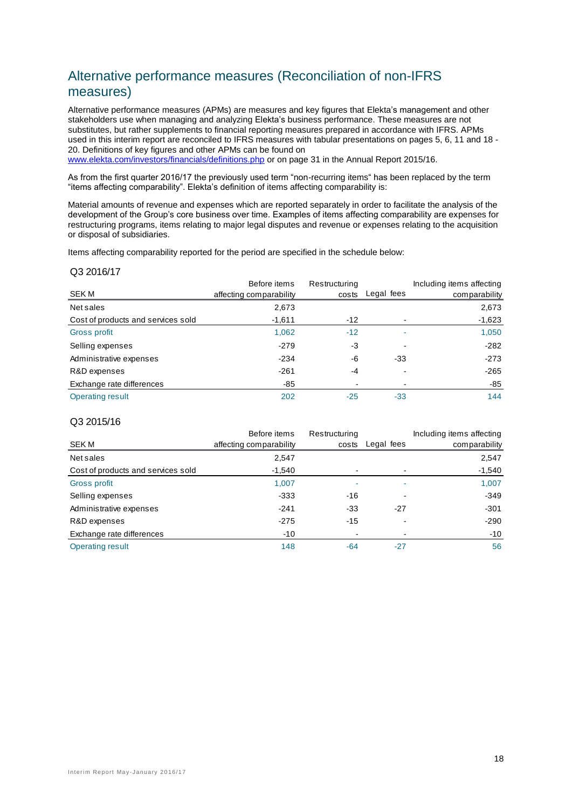# Alternative performance measures (Reconciliation of non-IFRS measures)

Alternative performance measures (APMs) are measures and key figures that Elekta's management and other stakeholders use when managing and analyzing Elekta's business performance. These measures are not substitutes, but rather supplements to financial reporting measures prepared in accordance with IFRS. APMs used in this interim report are reconciled to IFRS measures with tabular presentations on pages 5, 6, 11 and 18 - 20. Definitions of key figures and other APMs can be found on

[www.elekta.com/investors/financials/definitions.php](http://www.elekta.com/investors/financials/definitions.php) or on page 31 in the Annual Report 2015/16.

As from the first quarter 2016/17 the previously used term "non-recurring items" has been replaced by the term "items affecting comparability". Elekta's definition of items affecting comparability is:

Material amounts of revenue and expenses which are reported separately in order to facilitate the analysis of the development of the Group's core business over time. Examples of items affecting comparability are expenses for restructuring programs, items relating to major legal disputes and revenue or expenses relating to the acquisition or disposal of subsidiaries.

Items affecting comparability reported for the period are specified in the schedule below:

#### Q3 2016/17

| SEK M                              | Before items<br>affecting comparability | Restructuring<br>costs | Legal fees | Including items affecting<br>comparability |
|------------------------------------|-----------------------------------------|------------------------|------------|--------------------------------------------|
| Net sales                          | 2,673                                   |                        |            | 2,673                                      |
| Cost of products and services sold | $-1,611$                                | $-12$                  |            | $-1,623$                                   |
| Gross profit                       | 1,062                                   | $-12$                  | ۰          | 1,050                                      |
| Selling expenses                   | $-279$                                  | -3                     |            | $-282$                                     |
| Administrative expenses            | $-234$                                  | -6                     | $-33$      | $-273$                                     |
| R&D expenses                       | $-261$                                  | -4                     |            | $-265$                                     |
| Exchange rate differences          | -85                                     | -                      |            | -85                                        |
| Operating result                   | 202                                     | $-25$                  | $-33$      | 144                                        |

#### Q3 2015/16

|                                    | Before items            | Restructuring |            | Including items affecting |
|------------------------------------|-------------------------|---------------|------------|---------------------------|
| SEK M                              | affecting comparability | costs         | Legal fees | comparability             |
| Net sales                          | 2,547                   |               |            | 2,547                     |
| Cost of products and services sold | $-1,540$                |               |            | $-1,540$                  |
| Gross profit                       | 1,007                   | ۰             | ٠          | 1,007                     |
| Selling expenses                   | $-333$                  | $-16$         |            | $-349$                    |
| Administrative expenses            | $-241$                  | $-33$         | $-27$      | $-301$                    |
| R&D expenses                       | $-275$                  | -15           |            | $-290$                    |
| Exchange rate differences          | -10                     |               |            | $-10$                     |
| Operating result                   | 148                     | $-64$         | $-27$      | 56                        |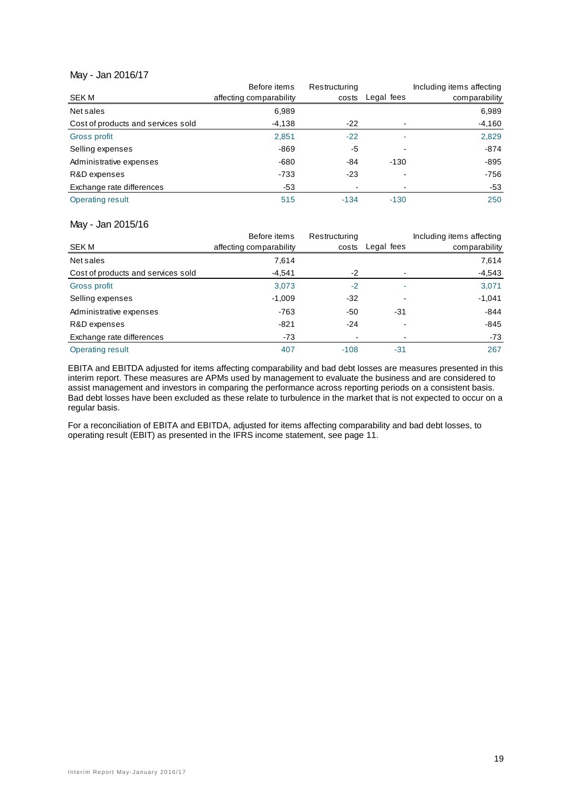#### May - Jan 2016/17

|                                    | Before items            | Restructuring |            | Including items affecting |
|------------------------------------|-------------------------|---------------|------------|---------------------------|
| SEK M                              | affecting comparability | costs         | Legal fees | comparability             |
| Net sales                          | 6,989                   |               |            | 6,989                     |
| Cost of products and services sold | $-4,138$                | $-22$         |            | $-4,160$                  |
| Gross profit                       | 2,851                   | $-22$         |            | 2,829                     |
| Selling expenses                   | $-869$                  | -5            |            | $-874$                    |
| Administrative expenses            | -680                    | -84           | $-130$     | $-895$                    |
| R&D expenses                       | $-733$                  | $-23$         |            | $-756$                    |
| Exchange rate differences          | $-53$                   |               |            | $-53$                     |
| <b>Operating result</b>            | 515                     | $-134$        | $-130$     | 250                       |

#### May - Jan 2015/16

|                                    | Before items            | Restructuring |            | Including items affecting |
|------------------------------------|-------------------------|---------------|------------|---------------------------|
| SEK M                              | affecting comparability | costs         | Legal fees | comparability             |
| Net sales                          | 7,614                   |               |            | 7,614                     |
| Cost of products and services sold | $-4,541$                | $-2$          |            | $-4,543$                  |
| Gross profit                       | 3,073                   | $-2$          |            | 3,071                     |
| Selling expenses                   | $-1,009$                | $-32$         |            | $-1,041$                  |
| Administrative expenses            | $-763$                  | $-50$         | $-31$      | $-844$                    |
| R&D expenses                       | $-821$                  | $-24$         |            | $-845$                    |
| Exchange rate differences          | -73                     | -             |            | $-73$                     |
| Operating result                   | 407                     | $-108$        | $-31$      | 267                       |

EBITA and EBITDA adjusted for items affecting comparability and bad debt losses are measures presented in this interim report. These measures are APMs used by management to evaluate the business and are considered to assist management and investors in comparing the performance across reporting periods on a consistent basis. Bad debt losses have been excluded as these relate to turbulence in the market that is not expected to occur on a regular basis.

For a reconciliation of EBITA and EBITDA, adjusted for items affecting comparability and bad debt losses, to operating result (EBIT) as presented in the IFRS income statement, see page 11.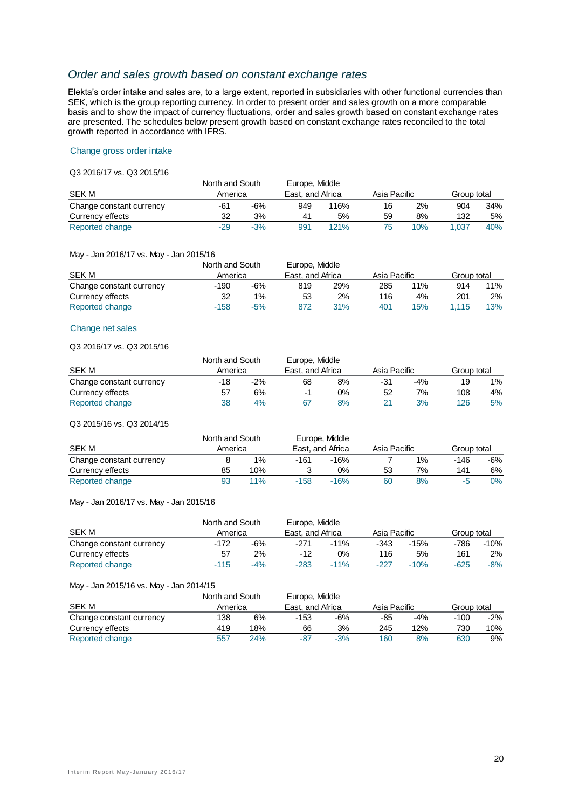## *Order and sales growth based on constant exchange rates*

Elekta's order intake and sales are, to a large extent, reported in subsidiaries with other functional currencies than SEK, which is the group reporting currency. In order to present order and sales growth on a more comparable basis and to show the impact of currency fluctuations, order and sales growth based on constant exchange rates are presented. The schedules below present growth based on constant exchange rates reconciled to the total growth reported in accordance with IFRS.

#### Change gross order intake

#### Q3 2016/17 vs. Q3 2015/16

|                          | North and South |       | Europe, Middle   |      |              |     |             |     |
|--------------------------|-----------------|-------|------------------|------|--------------|-----|-------------|-----|
| SEK M                    | America         |       | East, and Africa |      | Asia Pacific |     | Group total |     |
| Change constant currency | -61             | -6%   | 949              | 116% | 16           | 2%  | 904         | 34% |
| Currency effects         | 32              | 3%    | 41               | 5%   | 59           | 8%  | 132         | 5%  |
| Reported change          | -29             | $-3%$ | 991              | 121% |              | 10% | 1.037       | 40% |

#### May - Jan 2016/17 vs. May - Jan 2015/16

|                          |         | North and South<br>Europe, Middle |                  |     |              |     |             |     |
|--------------------------|---------|-----------------------------------|------------------|-----|--------------|-----|-------------|-----|
| SEK M                    | America |                                   | East, and Africa |     | Asia Pacific |     | Group total |     |
| Change constant currency | -190    | $-6%$                             | 819              | 29% | 285          | 11% | 914         | 11% |
| Currency effects         | 32      | $1\%$                             | 53               | 2%  | 116          | 4%  | 201         | 2%  |
| Reported change          | $-158$  | $-5%$                             | 872              | 31% | 401          | 15% | .115        | 13% |

#### Change net sales

#### Q3 2016/17 vs. Q3 2015/16

|                          | North and South |       | Europe, Middle   |    |              |       |             |    |
|--------------------------|-----------------|-------|------------------|----|--------------|-------|-------------|----|
| <b>SEK M</b>             | America         |       | East, and Africa |    | Asia Pacific |       | Group total |    |
| Change constant currency | -18             | $-2%$ | 68               | 8% | -31          | $-4%$ | 19          | 1% |
| Currency effects         | 57              | 6%    |                  | 0% | 52           | 7%    | 108         | 4% |
| Reported change          | 38              | 4%    |                  | 8% |              | 3%    | 126         | 5% |

#### Q3 2015/16 vs. Q3 2014/15

|                          | North and South |       |        | Europe, Middle   |              |    |             |     |
|--------------------------|-----------------|-------|--------|------------------|--------------|----|-------------|-----|
| <b>SEK M</b>             | America         |       |        | East, and Africa | Asia Pacific |    | Group total |     |
| Change constant currency |                 | $1\%$ | -161   | $-16%$           |              | 1% | -146        | -6% |
| Currency effects         | 85              | 10%   |        | 0%               | 53           | 7% | 141         | 6%  |
| Reported change          | 93              | 11%   | $-158$ | $-16%$           | 60           | 8% | -5          | 0%  |

#### May - Jan 2016/17 vs. May - Jan 2015/16

|                          |         | North and South |                  | Europe, Middle |              |        |             |       |
|--------------------------|---------|-----------------|------------------|----------------|--------------|--------|-------------|-------|
| <b>SEK M</b>             | America |                 | East, and Africa |                | Asia Pacific |        | Group total |       |
| Change constant currency | -172    | $-6%$           | -271             | $-11\%$        | -343         | $-15%$ | -786        | -10%  |
| Currency effects         | 57      | 2%              | -12              | 0%             | 116          | 5%     | 161         | 2%    |
| Reported change          | $-115$  | $-4%$           | $-283$           | $-11\%$        | -227         | $-10%$ | $-625$      | $-8%$ |

#### May - Jan 2015/16 vs. May - Jan 2014/15

|                          |         | Europe, Middle<br>North and South |                  |       |              |       |             |       |
|--------------------------|---------|-----------------------------------|------------------|-------|--------------|-------|-------------|-------|
| <b>SEK M</b>             | America |                                   | East, and Africa |       | Asia Pacific |       | Group total |       |
| Change constant currency | 138     | 6%                                | -153             | -6%   | -85          | $-4%$ | $-100$      | $-2%$ |
| Currency effects         | 419     | 18%                               | 66               | 3%    | 245          | 12%   | 730         | 10%   |
| Reported change          | 557     | 24%                               | -87              | $-3%$ | 160          | 8%    | 630         | 9%    |